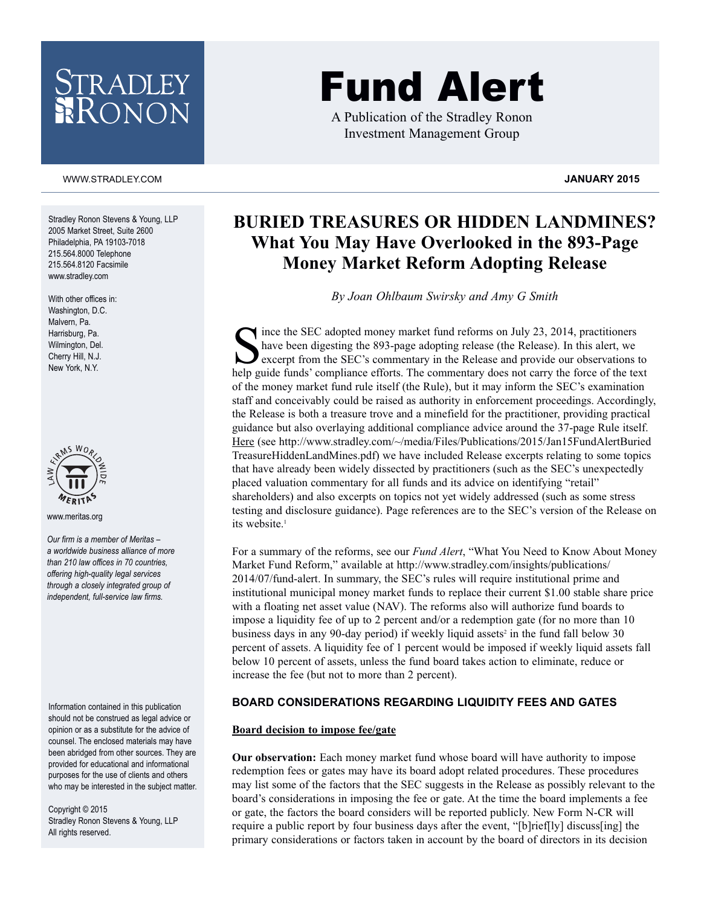# ADLEY

#### WWW.STRADLEY.COM **JANUARY 2015**

Stradley Ronon Stevens & Young, LLP 2005 Market Street, Suite 2600 Philadelphia, PA 19103-7018 215.564.8000 Telephone 215.564.8120 Facsimile www.stradley.com

With other offices in: Washington, D.C. Malvern, Pa. Harrisburg, Pa. Wilmington, Del. Cherry Hill, N.J. New York, N.Y.



www.meritas.org

*Our firm is a member of Meritas – a worldwide business alliance of more than 210 law offices in 70 countries, offering high-quality legal services through a closely integrated group of independent, full-service law firms.*

Information contained in this publication should not be construed as legal advice or opinion or as a substitute for the advice of counsel. The enclosed materials may have been abridged from other sources. They are provided for educational and informational purposes for the use of clients and others who may be interested in the subject matter.

Copyright © 2015 Stradley Ronon Stevens & Young, LLP All rights reserved.

## Fund Alert

A Publication of the Stradley Ronon Investment Management Group

### **BURIED TREASURES OR HIDDEN LANDMINES? What You May Have Overlooked in the 893-Page Money Market Reform Adopting Release**

*By Joan Ohlbaum Swirsky and Amy G Smith*

Since the SEC adopted money market fund reforms on July 23, 2014, practitioners<br>have been digesting the 893-page adopting release (the Release). In this alert, we<br>excerpt from the SEC's commentary in the Release and provid have been digesting the 893-page adopting release (the Release). In this alert, we excerpt from the SEC's commentary in the Release and provide our observations to help guide funds' compliance efforts. The commentary does not carry the force of the text of the money market fund rule itself (the Rule), but it may inform the SEC's examination staff and conceivably could be raised as authority in enforcement proceedings. Accordingly, the Release is both a treasure trove and a minefield for the practitioner, providing practical guidance but also overlaying additional compliance advice around the 37-page Rule itself. Here (see http://www.stradley.com/~/media/Files/Publications/2015/Jan15FundAlertBuried TreasureHiddenLandMines.pdf) we have included Release excerpts relating to some topics that have already been widely dissected by practitioners (such as the SEC's unexpectedly placed valuation commentary for all funds and its advice on identifying "retail" shareholders) and also excerpts on topics not yet widely addressed (such as some stress testing and disclosure guidance). Page references are to the SEC's version of the Release on its website. 1

For a summary of the reforms, see our *Fund Alert*, "What You Need to Know About Money Market Fund Reform," available at http://www.stradley.com/insights/publications/ 2014/07/fund-alert. In summary, the SEC's rules will require institutional prime and institutional municipal money market funds to replace their current \$1.00 stable share price with a floating net asset value (NAV). The reforms also will authorize fund boards to impose a liquidity fee of up to 2 percent and/or a redemption gate (for no more than 10 business days in any 90-day period) if weekly liquid assets<sup>2</sup> in the fund fall below 30 percent of assets. A liquidity fee of 1 percent would be imposed if weekly liquid assets fall below 10 percent of assets, unless the fund board takes action to eliminate, reduce or increase the fee (but not to more than 2 percent).

#### **BOARD CONSIDERATIONS REGARDING LIQUIDITY FEES AND GATES**

#### **Board decision to impose fee/gate**

**Our observation:** Each money market fund whose board will have authority to impose redemption fees or gates may have its board adopt related procedures. These procedures may list some of the factors that the SEC suggests in the Release as possibly relevant to the board's considerations in imposing the fee or gate. At the time the board implements a fee or gate, the factors the board considers will be reported publicly. New Form N-CR will require a public report by four business days after the event, "[b]rief[ly] discuss[ing] the primary considerations or factors taken in account by the board of directors in its decision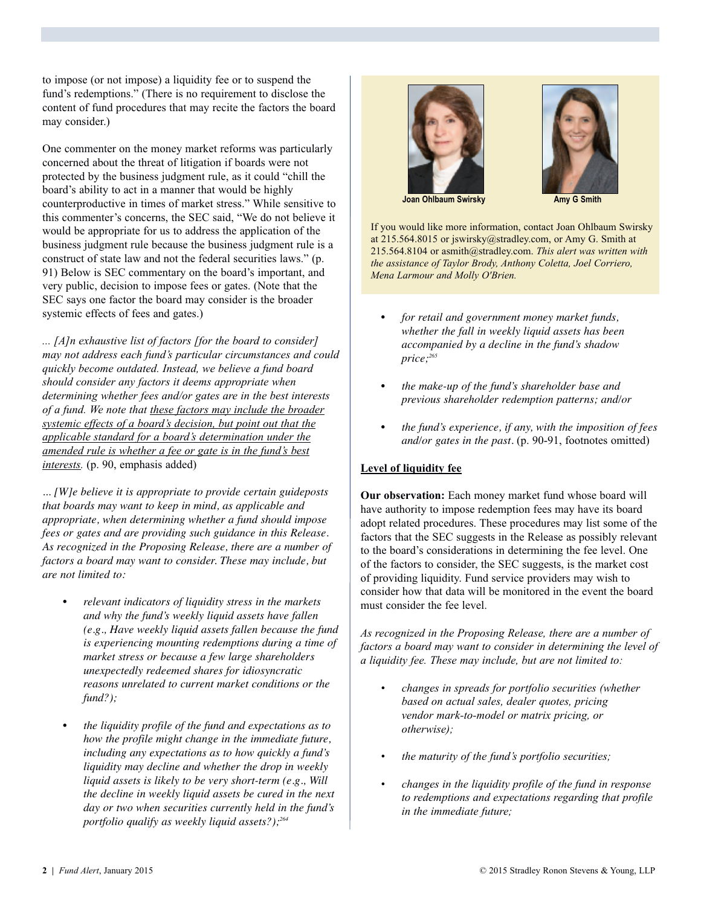to impose (or not impose) a liquidity fee or to suspend the fund's redemptions." (There is no requirement to disclose the content of fund procedures that may recite the factors the board may consider.)

One commenter on the money market reforms was particularly concerned about the threat of litigation if boards were not protected by the business judgment rule, as it could "chill the board's ability to act in a manner that would be highly counterproductive in times of market stress." While sensitive to this commenter's concerns, the SEC said, "We do not believe it would be appropriate for us to address the application of the business judgment rule because the business judgment rule is a construct of state law and not the federal securities laws." (p. 91) Below is SEC commentary on the board's important, and very public, decision to impose fees or gates. (Note that the SEC says one factor the board may consider is the broader systemic effects of fees and gates.)

*... [A]n exhaustive list of factors [for the board to consider] may not address each fund's particular circumstances and could quickly become outdated. Instead, we believe a fund board should consider any factors it deems appropriate when determining whether fees and/or gates are in the best interests of a fund. We note that these factors may include the broader systemic effects of a board's decision, but point out that the applicable standard for a board's determination under the amended rule is whether a fee or gate is in the fund's best interests.* (p. 90, emphasis added)

*... [W]e believe it is appropriate to provide certain guideposts that boards may want to keep in mind, as applicable and appropriate, when determining whether a fund should impose fees or gates and are providing such guidance in this Release. As recognized in the Proposing Release, there are a number of factors a board may want to consider. These may include, but are not limited to:*

- *relevant indicators of liquidity stress in the markets and why the fund's weekly liquid assets have fallen (e.g., Have weekly liquid assets fallen because the fund is experiencing mounting redemptions during a time of market stress or because a few large shareholders unexpectedly redeemed shares for idiosyncratic reasons unrelated to current market conditions or the fund?);*
- *the liquidity profile of the fund and expectations as to how the profile might change in the immediate future, including any expectations as to how quickly a fund's liquidity may decline and whether the drop in weekly liquid assets is likely to be very short-term (e.g., Will the decline in weekly liquid assets be cured in the next day or two when securities currently held in the fund's portfolio qualify as weekly liquid assets?); 264*





**Joan Ohlbaum Swirsky Amy G** Smith

If you would like more information, contact Joan Ohlbaum Swirsky at 215.564.8015 or jswirsky@stradley.com, or Amy G. Smith at 215.564.8104 or asmith@stradley.com. *This alert was written with the assistance of Taylor Brody, Anthony Coletta, Joel Corriero, Mena Larmour and Molly O'Brien.*

- *for retail and government money market funds, whether the fall in weekly liquid assets has been accompanied by a decline in the fund's shadow price; 265*
- *the make-up of the fund's shareholder base and previous shareholder redemption patterns; and/or*
- *the fund's experience, if any, with the imposition of fees and/or gates in the past.* (p. 90-91, footnotes omitted)

#### **Level of liquidity fee**

**Our observation:** Each money market fund whose board will have authority to impose redemption fees may have its board adopt related procedures. These procedures may list some of the factors that the SEC suggests in the Release as possibly relevant to the board's considerations in determining the fee level. One of the factors to consider, the SEC suggests, is the market cost of providing liquidity. Fund service providers may wish to consider how that data will be monitored in the event the board must consider the fee level.

*As recognized in the Proposing Release, there are a number of factors a board may want to consider in determining the level of a liquidity fee. These may include, but are not limited to:*

- *changes in spreads for portfolio securities (whether based on actual sales, dealer quotes, pricing vendor mark-to-model or matrix pricing, or otherwise);*
- *the maturity of the fund's portfolio securities;*
- *changes in the liquidity profile of the fund in response to redemptions and expectations regarding that profile in the immediate future;*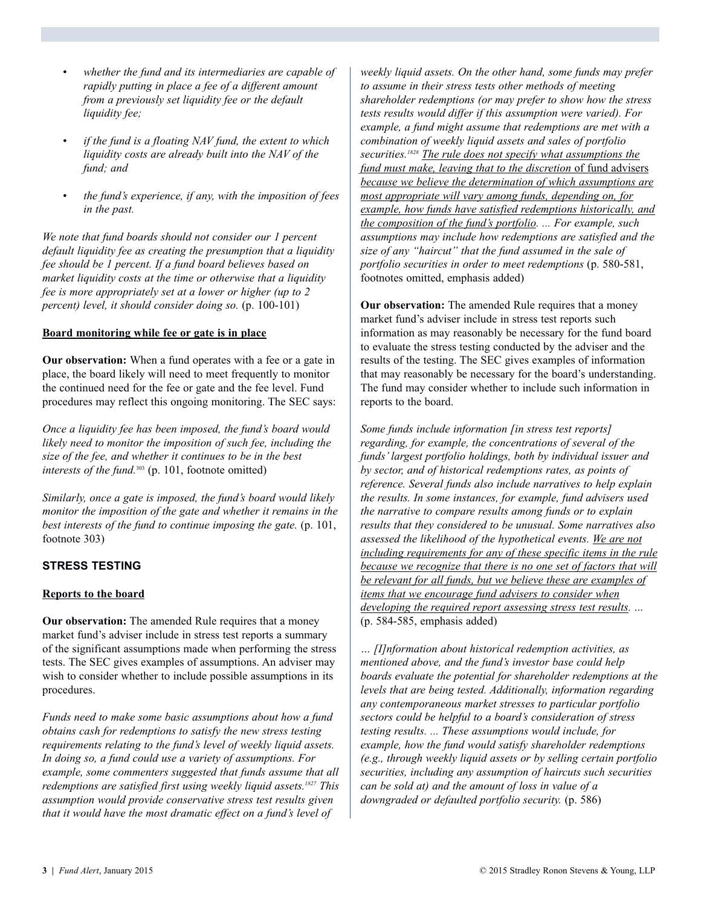- *whether the fund and its intermediaries are capable of rapidly putting in place a fee of a different amount from a previously set liquidity fee or the default liquidity fee;*
- *if the fund is a floating NAV fund, the extent to which liquidity costs are already built into the NAV of the fund; and*
- *the fund's experience, if any, with the imposition of fees in the past.*

*We note that fund boards should not consider our 1 percent default liquidity fee as creating the presumption that a liquidity fee should be 1 percent. If a fund board believes based on market liquidity costs at the time or otherwise that a liquidity fee is more appropriately set at a lower or higher (up to 2 percent) level, it should consider doing so.* (p. 100-101)

#### **Board monitoring while fee or gate is in place**

**Our observation:** When a fund operates with a fee or a gate in place, the board likely will need to meet frequently to monitor the continued need for the fee or gate and the fee level. Fund procedures may reflect this ongoing monitoring. The SEC says:

*Once a liquidity fee has been imposed, the fund's board would likely need to monitor the imposition of such fee, including the size of the fee, and whether it continues to be in the best interests of the fund.* <sup>303</sup> (p. 101, footnote omitted)

*Similarly, once a gate is imposed, the fund's board would likely monitor the imposition of the gate and whether it remains in the best interests of the fund to continue imposing the gate.* (p. 101, footnote 303)

#### **STRESS TESTING**

#### **Reports to the board**

**Our observation:** The amended Rule requires that a money market fund's adviser include in stress test reports a summary of the significant assumptions made when performing the stress tests. The SEC gives examples of assumptions. An adviser may wish to consider whether to include possible assumptions in its procedures.

*Funds need to make some basic assumptions about how a fund obtains cash for redemptions to satisfy the new stress testing requirements relating to the fund's level of weekly liquid assets. In doing so, a fund could use a variety of assumptions. For example, some commenters suggested that funds assume that all redemptions are satisfied first using weekly liquid assets. <sup>1827</sup> This assumption would provide conservative stress test results given that it would have the most dramatic effect on a fund's level of*

*weekly liquid assets. On the other hand, some funds may prefer to assume in their stress tests other methods of meeting shareholder redemptions (or may prefer to show how the stress tests results would differ if this assumption were varied). For example, a fund might assume that redemptions are met with a combination of weekly liquid assets and sales of portfolio securities. <sup>1828</sup> The rule does not specify what assumptions the fund must make, leaving that to the discretion* of fund advisers *because we believe the determination of which assumptions are most appropriate will vary among funds, depending on, for example, how funds have satisfied redemptions historically, and the composition of the fund's portfolio. ... For example, such assumptions may include how redemptions are satisfied and the size of any "haircut" that the fund assumed in the sale of portfolio securities in order to meet redemptions* (p. 580-581, footnotes omitted, emphasis added)

**Our observation:** The amended Rule requires that a money market fund's adviser include in stress test reports such information as may reasonably be necessary for the fund board to evaluate the stress testing conducted by the adviser and the results of the testing. The SEC gives examples of information that may reasonably be necessary for the board's understanding. The fund may consider whether to include such information in reports to the board.

*Some funds include information [in stress test reports] regarding, for example, the concentrations of several of the funds'largest portfolio holdings, both by individual issuer and by sector, and of historical redemptions rates, as points of reference. Several funds also include narratives to help explain the results. In some instances, for example, fund advisers used the narrative to compare results among funds or to explain results that they considered to be unusual. Some narratives also assessed the likelihood of the hypothetical events. We are not including requirements for any of these specific items in the rule because we recognize that there is no one set of factors that will be relevant for all funds, but we believe these are examples of items that we encourage fund advisers to consider when developing the required report assessing stress test results.* ... (p. 584-585, emphasis added)

*… [I]nformation about historical redemption activities, as mentioned above, and the fund's investor base could help boards evaluate the potential for shareholder redemptions at the levels that are being tested. Additionally, information regarding any contemporaneous market stresses to particular portfolio sectors could be helpful to a board's consideration of stress testing results. ... These assumptions would include, for example, how the fund would satisfy shareholder redemptions (e.g., through weekly liquid assets or by selling certain portfolio securities, including any assumption of haircuts such securities can be sold at) and the amount of loss in value of a downgraded or defaulted portfolio security.* (p. 586)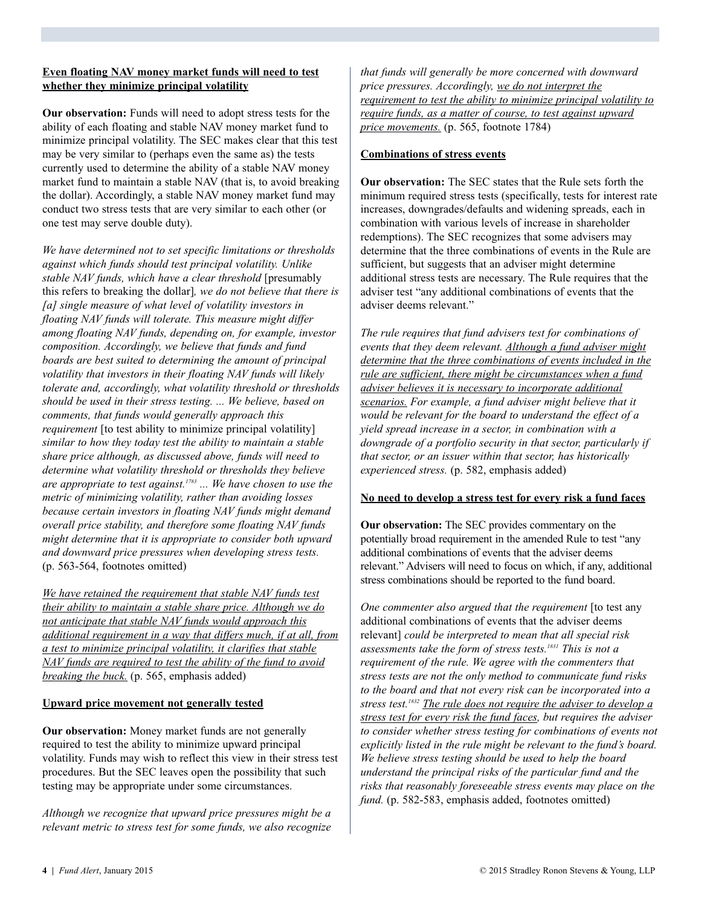#### **Even floating NAV money market funds will need to test whether they minimize principal volatility**

**Our observation:** Funds will need to adopt stress tests for the ability of each floating and stable NAV money market fund to minimize principal volatility. The SEC makes clear that this test may be very similar to (perhaps even the same as) the tests currently used to determine the ability of a stable NAV money market fund to maintain a stable NAV (that is, to avoid breaking the dollar). Accordingly, a stable NAV money market fund may conduct two stress tests that are very similar to each other (or one test may serve double duty).

*We have determined not to set specific limitations or thresholds against which funds should test principal volatility. Unlike stable NAV funds, which have a clear threshold* [presumably this refers to breaking the dollar]*, we do not believe that there is [a] single measure of what level of volatility investors in floating NAV funds will tolerate. This measure might differ among floating NAV funds, depending on, for example, investor composition. Accordingly, we believe that funds and fund boards are best suited to determining the amount of principal volatility that investors in their floating NAV funds will likely tolerate and, accordingly, what volatility threshold or thresholds should be used in their stress testing. ... We believe, based on comments, that funds would generally approach this requirement* [to test ability to minimize principal volatility] *similar to how they today test the ability to maintain a stable share price although, as discussed above, funds will need to determine what volatility threshold or thresholds they believe are appropriate to test against. <sup>1783</sup> ... We have chosen to use the metric of minimizing volatility, rather than avoiding losses because certain investors in floating NAV funds might demand overall price stability, and therefore some floating NAV funds might determine that it is appropriate to consider both upward and downward price pressures when developing stress tests.* (p. 563-564, footnotes omitted)

*We have retained the requirement that stable NAV funds test their ability to maintain a stable share price. Although we do not anticipate that stable NAV funds would approach this additional requirement in a way that differs much, if at all, from a test to minimize principal volatility, it clarifies that stable NAV funds are required to test the ability of the fund to avoid breaking the buck.* (p. 565, emphasis added)

#### **Upward price movement not generally tested**

**Our observation:** Money market funds are not generally required to test the ability to minimize upward principal volatility. Funds may wish to reflect this view in their stress test procedures. But the SEC leaves open the possibility that such testing may be appropriate under some circumstances.

*Although we recognize that upward price pressures might be a relevant metric to stress test for some funds, we also recognize*

*that funds will generally be more concerned with downward price pressures. Accordingly, we do not interpret the requirement to test the ability to minimize principal volatility to require funds, as a matter of course, to test against upward price movements.* (p. 565, footnote 1784)

#### **Combinations of stress events**

**Our observation:** The SEC states that the Rule sets forth the minimum required stress tests (specifically, tests for interest rate increases, downgrades/defaults and widening spreads, each in combination with various levels of increase in shareholder redemptions). The SEC recognizes that some advisers may determine that the three combinations of events in the Rule are sufficient, but suggests that an adviser might determine additional stress tests are necessary. The Rule requires that the adviser test "any additional combinations of events that the adviser deems relevant."

*The rule requires that fund advisers test for combinations of events that they deem relevant. Although a fund adviser might determine that the three combinations of events included in the rule are sufficient, there might be circumstances when a fund adviser believes it is necessary to incorporate additional scenarios. For example, a fund adviser might believe that it would be relevant for the board to understand the effect of a yield spread increase in a sector, in combination with a downgrade of a portfolio security in that sector, particularly if that sector, or an issuer within that sector, has historically experienced stress.* (p. 582, emphasis added)

#### **No need to develop a stress test for every risk a fund faces**

**Our observation:** The SEC provides commentary on the potentially broad requirement in the amended Rule to test "any additional combinations of events that the adviser deems relevant." Advisers will need to focus on which, if any, additional stress combinations should be reported to the fund board.

*One commenter also argued that the requirement* [to test any additional combinations of events that the adviser deems relevant] *could be interpreted to mean that all special risk assessments take the form of stress tests. <sup>1831</sup> This is not a requirement of the rule. We agree with the commenters that stress tests are not the only method to communicate fund risks to the board and that not every risk can be incorporated into a stress test. <sup>1832</sup> The rule does not require the adviser to develop a stress test for every risk the fund faces, but requires the adviser to consider whether stress testing for combinations of events not explicitly listed in the rule might be relevant to the fund's board. We believe stress testing should be used to help the board understand the principal risks of the particular fund and the risks that reasonably foreseeable stress events may place on the fund.* (p. 582-583, emphasis added, footnotes omitted)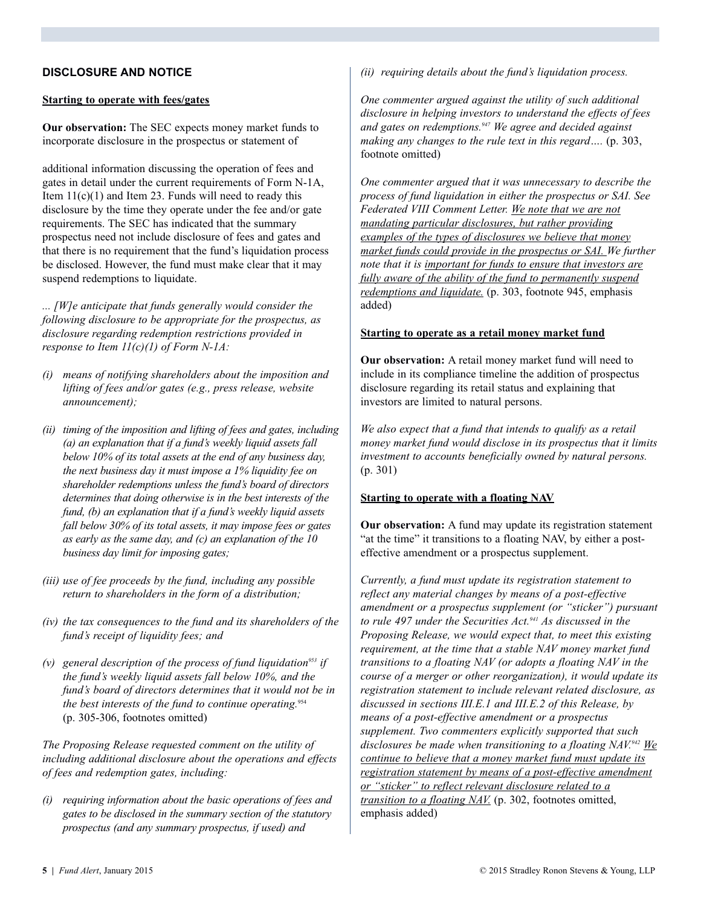#### **DISCLOSURE AND NOTICE**

#### **Starting to operate with fees/gates**

**Our observation:** The SEC expects money market funds to incorporate disclosure in the prospectus or statement of

additional information discussing the operation of fees and gates in detail under the current requirements of Form N-1A, Item  $11(c)(1)$  and Item 23. Funds will need to ready this disclosure by the time they operate under the fee and/or gate requirements. The SEC has indicated that the summary prospectus need not include disclosure of fees and gates and that there is no requirement that the fund's liquidation process be disclosed. However, the fund must make clear that it may suspend redemptions to liquidate.

*... [W]e anticipate that funds generally would consider the following disclosure to be appropriate for the prospectus, as disclosure regarding redemption restrictions provided in response to Item 11(c)(1) of Form N-1A:*

- *(i) means of notifying shareholders about the imposition and lifting of fees and/or gates (e.g., press release, website announcement);*
- *(ii) timing of the imposition and lifting of fees and gates, including (a) an explanation that if a fund's weekly liquid assets fall below 10% of its total assets at the end of any business day, the next business day it must impose a 1% liquidity fee on shareholder redemptions unless the fund's board of directors determines that doing otherwise is in the best interests of the fund, (b) an explanation that if a fund's weekly liquid assets fall below 30% of its total assets, it may impose fees or gates as early as the same day, and (c) an explanation of the 10 business day limit for imposing gates;*
- *(iii) use of fee proceeds by the fund, including any possible return to shareholders in the form of a distribution;*
- *(iv) the tax consequences to the fund and its shareholders of the fund's receipt of liquidity fees; and*
- *(v) general description of the process of fund liquidation953 if the fund's weekly liquid assets fall below 10%, and the fund's board of directors determines that it would not be in the best interests of the fund to continue operating.* 954 (p. 305-306, footnotes omitted)

*The Proposing Release requested comment on the utility of including additional disclosure about the operations and effects of fees and redemption gates, including:*

*(i) requiring information about the basic operations of fees and gates to be disclosed in the summary section of the statutory prospectus (and any summary prospectus, if used) and*

*(ii) requiring details about the fund's liquidation process.*

*One commenter argued against the utility of such additional disclosure in helping investors to understand the effects of fees and gates on redemptions. <sup>947</sup> We agree and decided against making any changes to the rule text in this regard….* (p. 303, footnote omitted)

*One commenter argued that it was unnecessary to describe the process of fund liquidation in either the prospectus or SAI. See Federated VIII Comment Letter. We note that we are not mandating particular disclosures, but rather providing examples of the types of disclosures we believe that money market funds could provide in the prospectus or SAI. We further note that it is important for funds to ensure that investors are fully aware of the ability of the fund to permanently suspend redemptions and liquidate.* (p. 303, footnote 945, emphasis added)

#### **Starting to operate as a retail money market fund**

**Our observation:** A retail money market fund will need to include in its compliance timeline the addition of prospectus disclosure regarding its retail status and explaining that investors are limited to natural persons.

*We also expect that a fund that intends to qualify as a retail money market fund would disclose in its prospectus that it limits investment to accounts beneficially owned by natural persons.* (p. 301)

#### **Starting to operate with a floating NAV**

**Our observation:** A fund may update its registration statement "at the time" it transitions to a floating NAV, by either a posteffective amendment or a prospectus supplement.

*Currently, a fund must update its registration statement to reflect any material changes by means of a post-effective amendment or a prospectus supplement (or "sticker") pursuant to rule 497 under the Securities Act. <sup>941</sup> As discussed in the Proposing Release, we would expect that, to meet this existing requirement, at the time that a stable NAV money market fund transitions to a floating NAV (or adopts a floating NAV in the course of a merger or other reorganization), it would update its registration statement to include relevant related disclosure, as discussed in sections III.E.1 and III.E.2 of this Release, by means of a post-effective amendment or a prospectus supplement. Two commenters explicitly supported that such disclosures be made when transitioning to a floating NAV. <sup>942</sup> We continue to believe that a money market fund must update its registration statement by means of a post-effective amendment or "sticker" to reflect relevant disclosure related to a transition to a floating NAV.* (p. 302, footnotes omitted, emphasis added)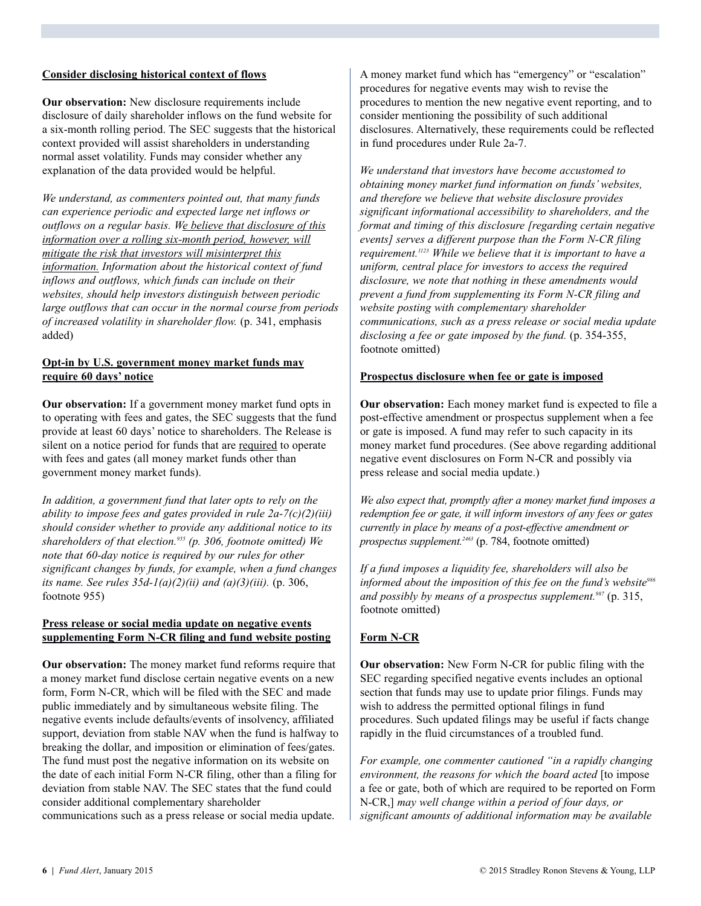#### **Consider disclosing historical context of flows**

**Our observation:** New disclosure requirements include disclosure of daily shareholder inflows on the fund website for a six-month rolling period. The SEC suggests that the historical context provided will assist shareholders in understanding normal asset volatility. Funds may consider whether any explanation of the data provided would be helpful.

*We understand, as commenters pointed out, that many funds can experience periodic and expected large net inflows or outflows on a regular basis. We believe that disclosure of this information over a rolling six-month period, however, will mitigate the risk that investors will misinterpret this information. Information about the historical context of fund inflows and outflows, which funds can include on their websites, should help investors distinguish between periodic large outflows that can occur in the normal course from periods of increased volatility in shareholder flow.* (p. 341, emphasis added)

#### **Opt-in by U.S. government money market funds may require 60 days' notice**

**Our observation:** If a government money market fund opts in to operating with fees and gates, the SEC suggests that the fund provide at least 60 days' notice to shareholders. The Release is silent on a notice period for funds that are required to operate with fees and gates (all money market funds other than government money market funds).

*In addition, a government fund that later opts to rely on the ability to impose fees and gates provided in rule 2a-7(c)(2)(iii) should consider whether to provide any additional notice to its shareholders of that election. <sup>955</sup> (p. 306, footnote omitted) We note that 60-day notice is required by our rules for other significant changes by funds, for example, when a fund changes its name. See rules 35d-1(a)(2)(ii) and (a)(3)(iii).* (p. 306, footnote 955)

#### **Press release or social media update on negative events supplementing Form N-CR filing and fund website posting**

**Our observation:** The money market fund reforms require that a money market fund disclose certain negative events on a new form, Form N-CR, which will be filed with the SEC and made public immediately and by simultaneous website filing. The negative events include defaults/events of insolvency, affiliated support, deviation from stable NAV when the fund is halfway to breaking the dollar, and imposition or elimination of fees/gates. The fund must post the negative information on its website on the date of each initial Form N-CR filing, other than a filing for deviation from stable NAV. The SEC states that the fund could consider additional complementary shareholder communications such as a press release or social media update.

A money market fund which has "emergency" or "escalation" procedures for negative events may wish to revise the procedures to mention the new negative event reporting, and to consider mentioning the possibility of such additional disclosures. Alternatively, these requirements could be reflected in fund procedures under Rule 2a-7.

*We understand that investors have become accustomed to obtaining money market fund information on funds'websites, and therefore we believe that website disclosure provides significant informational accessibility to shareholders, and the format and timing of this disclosure [regarding certain negative events] serves a different purpose than the Form N-CR filing requirement. <sup>1123</sup> While we believe that it is important to have a uniform, central place for investors to access the required disclosure, we note that nothing in these amendments would prevent a fund from supplementing its Form N-CR filing and website posting with complementary shareholder communications, such as a press release or social media update disclosing a fee or gate imposed by the fund.* (p. 354-355, footnote omitted)

#### **Prospectus disclosure when fee or gate is imposed**

**Our observation:** Each money market fund is expected to file a post-effective amendment or prospectus supplement when a fee or gate is imposed. A fund may refer to such capacity in its money market fund procedures. (See above regarding additional negative event disclosures on Form N-CR and possibly via press release and social media update.)

*We also expect that, promptly after a money market fund imposes a redemption fee or gate, it will inform investors of any fees or gates currently in place by means of a post-effective amendment or prospectus supplement. <sup>2463</sup>* (p. 784, footnote omitted)

*If a fund imposes a liquidity fee, shareholders will also be informed about the imposition of this fee on the fund's website986 and possibly by means of a prospectus supplement. <sup>987</sup>* (p. 315, footnote omitted)

#### **Form N-CR**

**Our observation:** New Form N-CR for public filing with the SEC regarding specified negative events includes an optional section that funds may use to update prior filings. Funds may wish to address the permitted optional filings in fund procedures. Such updated filings may be useful if facts change rapidly in the fluid circumstances of a troubled fund.

*For example, one commenter cautioned "in a rapidly changing environment, the reasons for which the board acted* [to impose a fee or gate, both of which are required to be reported on Form N-CR,] *may well change within a period of four days, or significant amounts of additional information may be available*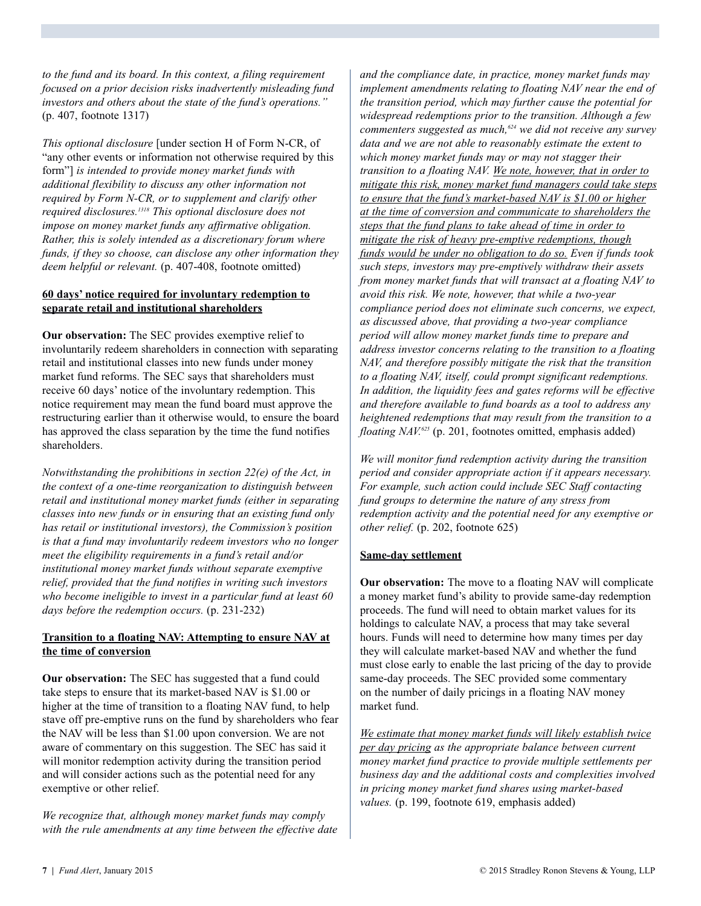*to the fund and its board. In this context, a filing requirement focused on a prior decision risks inadvertently misleading fund investors and others about the state of the fund's operations."* (p. 407, footnote 1317)

*This optional disclosure* [under section H of Form N-CR, of "any other events or information not otherwise required by this form"] *is intended to provide money market funds with additional flexibility to discuss any other information not required by Form N-CR, or to supplement and clarify other required disclosures. <sup>1318</sup> This optional disclosure does not impose on money market funds any affirmative obligation. Rather, this is solely intended as a discretionary forum where funds, if they so choose, can disclose any other information they deem helpful or relevant.* (p. 407-408, footnote omitted)

#### **60 days' notice required for involuntary redemption to separate retail and institutional shareholders**

**Our observation:** The SEC provides exemptive relief to involuntarily redeem shareholders in connection with separating retail and institutional classes into new funds under money market fund reforms. The SEC says that shareholders must receive 60 days' notice of the involuntary redemption. This notice requirement may mean the fund board must approve the restructuring earlier than it otherwise would, to ensure the board has approved the class separation by the time the fund notifies shareholders.

*Notwithstanding the prohibitions in section 22(e) of the Act, in the context of a one-time reorganization to distinguish between retail and institutional money market funds (either in separating classes into new funds or in ensuring that an existing fund only has retail or institutional investors), the Commission's position is that a fund may involuntarily redeem investors who no longer meet the eligibility requirements in a fund's retail and/or institutional money market funds without separate exemptive relief, provided that the fund notifies in writing such investors who become ineligible to invest in a particular fund at least 60 days before the redemption occurs.* (p. 231-232)

#### **Transition to a floating NAV: Attempting to ensure NAV at the time of conversion**

**Our observation:** The SEC has suggested that a fund could take steps to ensure that its market-based NAV is \$1.00 or higher at the time of transition to a floating NAV fund, to help stave off pre-emptive runs on the fund by shareholders who fear the NAV will be less than \$1.00 upon conversion. We are not aware of commentary on this suggestion. The SEC has said it will monitor redemption activity during the transition period and will consider actions such as the potential need for any exemptive or other relief.

*We recognize that, although money market funds may comply with the rule amendments at any time between the effective date*

*and the compliance date, in practice, money market funds may implement amendments relating to floating NAV near the end of the transition period, which may further cause the potential for widespread redemptions prior to the transition. Although a few commenters suggested as much, <sup>624</sup> we did not receive any survey data and we are not able to reasonably estimate the extent to which money market funds may or may not stagger their transition to a floating NAV. We note, however, that in order to mitigate this risk, money market fund managers could take steps to ensure that the fund's market-based NAV is \$1.00 or higher at the time of conversion and communicate to shareholders the steps that the fund plans to take ahead of time in order to mitigate the risk of heavy pre-emptive redemptions, though funds would be under no obligation to do so. Even if funds took such steps, investors may pre-emptively withdraw their assets from money market funds that will transact at a floating NAV to avoid this risk. We note, however, that while a two-year compliance period does not eliminate such concerns, we expect, as discussed above, that providing a two-year compliance period will allow money market funds time to prepare and address investor concerns relating to the transition to a floating NAV, and therefore possibly mitigate the risk that the transition to a floating NAV, itself, could prompt significant redemptions. In addition, the liquidity fees and gates reforms will be effective and therefore available to fund boards as a tool to address any heightened redemptions that may result from the transition to a floating NAV. <sup>625</sup>* (p. 201, footnotes omitted, emphasis added)

*We will monitor fund redemption activity during the transition period and consider appropriate action if it appears necessary. For example, such action could include SEC Staff contacting fund groups to determine the nature of any stress from redemption activity and the potential need for any exemptive or other relief.* (p. 202, footnote 625)

#### **Same-day settlement**

**Our observation:** The move to a floating NAV will complicate a money market fund's ability to provide same-day redemption proceeds. The fund will need to obtain market values for its holdings to calculate NAV, a process that may take several hours. Funds will need to determine how many times per day they will calculate market-based NAV and whether the fund must close early to enable the last pricing of the day to provide same-day proceeds. The SEC provided some commentary on the number of daily pricings in a floating NAV money market fund.

*We estimate that money market funds will likely establish twice per day pricing as the appropriate balance between current money market fund practice to provide multiple settlements per business day and the additional costs and complexities involved in pricing money market fund shares using market-based values.* (p. 199, footnote 619, emphasis added)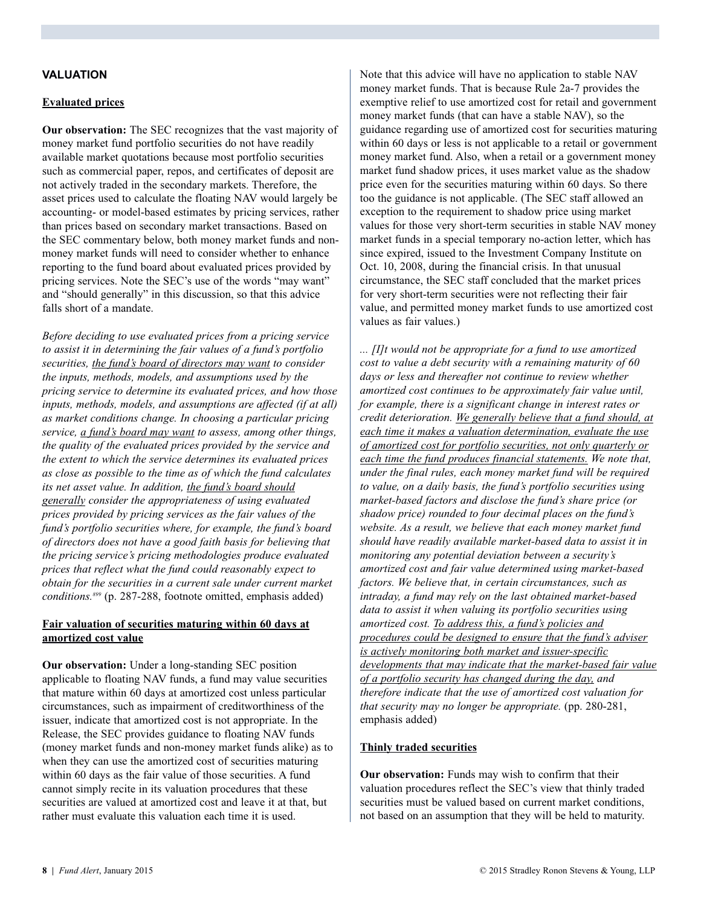#### **VALUATION**

#### **Evaluated prices**

**Our observation:** The SEC recognizes that the vast majority of money market fund portfolio securities do not have readily available market quotations because most portfolio securities such as commercial paper, repos, and certificates of deposit are not actively traded in the secondary markets. Therefore, the asset prices used to calculate the floating NAV would largely be accounting- or model-based estimates by pricing services, rather than prices based on secondary market transactions. Based on the SEC commentary below, both money market funds and nonmoney market funds will need to consider whether to enhance reporting to the fund board about evaluated prices provided by pricing services. Note the SEC's use of the words "may want" and "should generally" in this discussion, so that this advice falls short of a mandate.

*Before deciding to use evaluated prices from a pricing service to assist it in determining the fair values of a fund's portfolio securities, the fund's board of directors may want to consider the inputs, methods, models, and assumptions used by the pricing service to determine its evaluated prices, and how those inputs, methods, models, and assumptions are affected (if at all) as market conditions change. In choosing a particular pricing service, a fund's board may want to assess, among other things, the quality of the evaluated prices provided by the service and the extent to which the service determines its evaluated prices as close as possible to the time as of which the fund calculates its net asset value. In addition, the fund's board should generally consider the appropriateness of using evaluated prices provided by pricing services as the fair values of the fund's portfolio securities where, for example, the fund's board of directors does not have a good faith basis for believing that the pricing service's pricing methodologies produce evaluated prices that reflect what the fund could reasonably expect to obtain for the securities in a current sale under current market conditions. <sup>899</sup>* (p. 287-288, footnote omitted, emphasis added)

#### **Fair valuation of securities maturing within 60 days at amortized cost value**

**Our observation:** Under a long-standing SEC position applicable to floating NAV funds, a fund may value securities that mature within 60 days at amortized cost unless particular circumstances, such as impairment of creditworthiness of the issuer, indicate that amortized cost is not appropriate. In the Release, the SEC provides guidance to floating NAV funds (money market funds and non-money market funds alike) as to when they can use the amortized cost of securities maturing within 60 days as the fair value of those securities. A fund cannot simply recite in its valuation procedures that these securities are valued at amortized cost and leave it at that, but rather must evaluate this valuation each time it is used.

Note that this advice will have no application to stable NAV money market funds. That is because Rule 2a-7 provides the exemptive relief to use amortized cost for retail and government money market funds (that can have a stable NAV), so the guidance regarding use of amortized cost for securities maturing within 60 days or less is not applicable to a retail or government money market fund. Also, when a retail or a government money market fund shadow prices, it uses market value as the shadow price even for the securities maturing within 60 days. So there too the guidance is not applicable. (The SEC staff allowed an exception to the requirement to shadow price using market values for those very short-term securities in stable NAV money market funds in a special temporary no-action letter, which has since expired, issued to the Investment Company Institute on Oct. 10, 2008, during the financial crisis. In that unusual circumstance, the SEC staff concluded that the market prices for very short-term securities were not reflecting their fair value, and permitted money market funds to use amortized cost values as fair values.)

*... [I]t would not be appropriate for a fund to use amortized cost to value a debt security with a remaining maturity of 60 days or less and thereafter not continue to review whether amortized cost continues to be approximately fair value until, for example, there is a significant change in interest rates or credit deterioration. We generally believe that a fund should, at each time it makes a valuation determination, evaluate the use of amortized cost for portfolio securities, not only quarterly or each time the fund produces financial statements. We note that, under the final rules, each money market fund will be required to value, on a daily basis, the fund's portfolio securities using market-based factors and disclose the fund's share price (or shadow price) rounded to four decimal places on the fund's website. As a result, we believe that each money market fund should have readily available market-based data to assist it in monitoring any potential deviation between a security's amortized cost and fair value determined using market-based factors. We believe that, in certain circumstances, such as intraday, a fund may rely on the last obtained market-based data to assist it when valuing its portfolio securities using amortized cost. To address this, a fund's policies and procedures could be designed to ensure that the fund's adviser is actively monitoring both market and issuer-specific developments that may indicate that the market-based fair value of a portfolio security has changed during the day, and therefore indicate that the use of amortized cost valuation for that security may no longer be appropriate.* (pp. 280-281, emphasis added)

#### **Thinly traded securities**

**Our observation:** Funds may wish to confirm that their valuation procedures reflect the SEC's view that thinly traded securities must be valued based on current market conditions, not based on an assumption that they will be held to maturity.